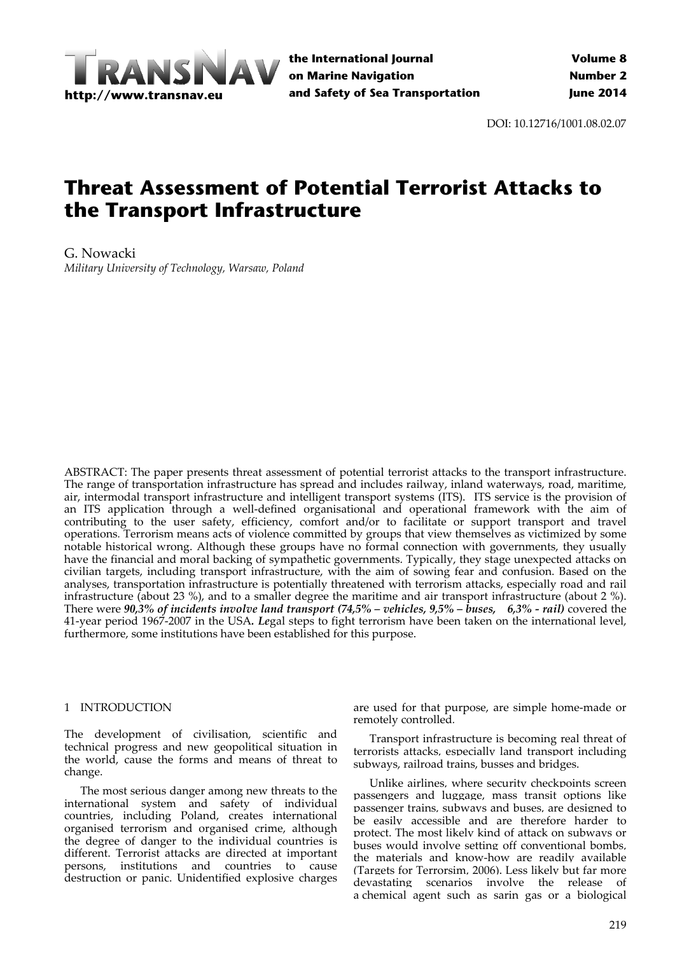

**the International Journal on Marine Navigation and Safety of Sea Transportation**

DOI: 10.12716/1001.08.02.07

# **Threat Assessment of Potential Terrorist Attacks to the Transport Infrastructure**

G. Nowacki *Military University of Technology, Warsaw, Poland*

ABSTRACT: The paper presents threat assessment of potential terrorist attacks to the transport infrastructure. The range of transportation infrastructure has spread and includes railway, inland waterways, road, maritime, air, intermodal transport infrastructure and intelligent transport systems (ITS). ITS service is the provision of an ITS application through a well-defined organisational and operational framework with the aim of contributing to the user safety, efficiency, comfort and/or to facilitate or support transport and travel operations*.* Terrorism means acts of violence committed by groups that view themselves as victimized by some notable historical wrong. Although these groups have no formal connection with governments, they usually have the financial and moral backing of sympathetic governments. Typically, they stage unexpected attacks on civilian targets, including transport infrastructure, with the aim of sowing fear and confusion. Based on the analyses, transportation infrastructure is potentially threatened with terrorism attacks, especially road and rail infrastructure (about 23 %), and to a smaller degree the maritime and air transport infrastructure (about 2 %). There were 90,3% of incidents involve land transport (74,5% – vehicles,  $9,5\%$  – buses, 6,3% - rail) covered the 41‐year period 1967‐2007 in the USA*. Le*gal steps to fight terrorism have been taken on the international level, furthermore, some institutions have been established for this purpose.

## 1 INTRODUCTION

The development of civilisation, scientific and technical progress and new geopolitical situation in the world, cause the forms and means of threat to change.

The most serious danger among new threats to the international system and safety of individual countries, including Poland, creates international organised terrorism and organised crime, although the degree of danger to the individual countries is different. Terrorist attacks are directed at important persons, institutions and countries to cause destruction or panic. Unidentified explosive charges

are used for that purpose, are simple home‐made or remotely controlled*.*

Transport infrastructure is becoming real threat of terrorists attacks, especially land transport including subways, railroad trains, busses and bridges.

Unlike airlines, where security checkpoints screen passengers and luggage, mass transit options like passenger trains, subways and buses, are designed to be easily accessible and are therefore harder to protect. The most likely kind of attack on subways or buses would involve setting off conventional bombs, the materials and know‐how are readily available (Targets for Terrorsim, 2006). Less likely but far more devastating scenarios involve the release of a chemical agent such as sarin gas or a biological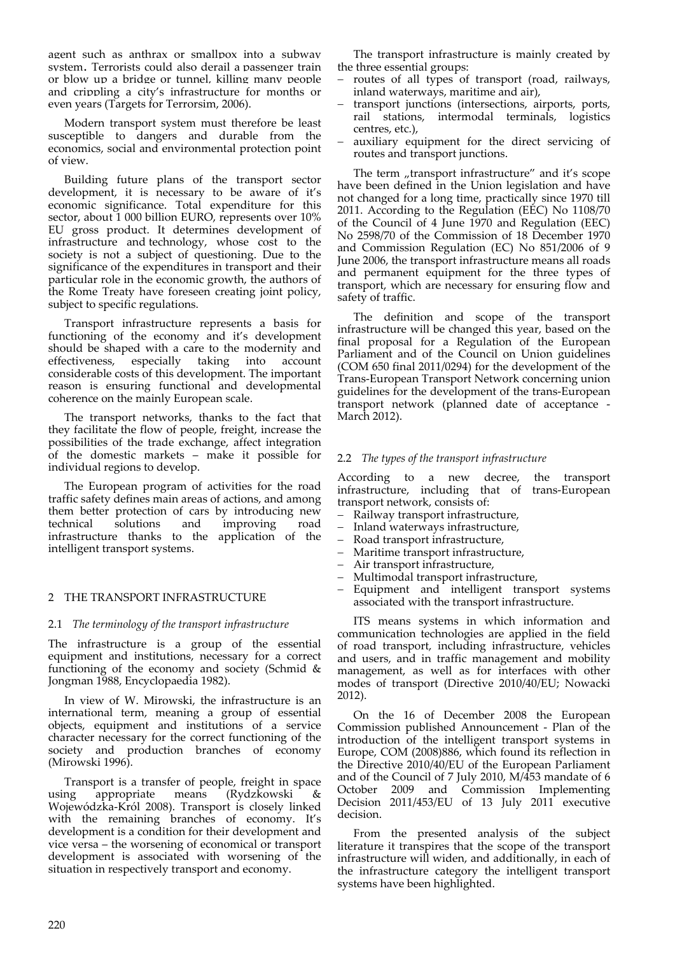agent such as anthrax or smallpox into a subway system. Terrorists could also derail a passenger train or blow up a bridge or tunnel, killing many people and crippling a city's infrastructure for months or even years (Targets for Terrorsim, 2006).

Modern transport system must therefore be least susceptible to dangers and durable from the economics, social and environmental protection point of view.

Building future plans of the transport sector development, it is necessary to be aware of it's economic significance. Total expenditure for this sector, about 1 000 billion EURO, represents over 10% EU gross product. It determines development of infrastructure and technology, whose cost to the society is not a subject of questioning. Due to the significance of the expenditures in transport and their particular role in the economic growth, the authors of the Rome Treaty have foreseen creating joint policy, subject to specific regulations.

Transport infrastructure represents a basis for functioning of the economy and it's development should be shaped with a care to the modernity and effectiveness, especially taking into account considerable costs of this development. The important reason is ensuring functional and developmental coherence on the mainly European scale.

The transport networks, thanks to the fact that they facilitate the flow of people, freight, increase the possibilities of the trade exchange, affect integration of the domestic markets – make it possible for individual regions to develop.

The European program of activities for the road traffic safety defines main areas of actions, and among them better protection of cars by introducing new technical solutions and improving road infrastructure thanks to the application of the intelligent transport systems.

### 2 THE TRANSPORT INFRASTRUCTURE

## 2.1 *The terminology of the transport infrastructure*

The infrastructure is a group of the essential equipment and institutions, necessary for a correct functioning of the economy and society (Schmid & Jongman 1988, Encyclopaedia 1982).

In view of W. Mirowski, the infrastructure is an international term, meaning a group of essential objects, equipment and institutions of a service character necessary for the correct functioning of the society and production branches of economy (Mirowski 1996).

Transport is a transfer of people, freight in space using appropriate means (Rydzkowski & Wojewódzka‐Król 2008). Transport is closely linked with the remaining branches of economy. It's development is a condition for their development and vice versa – the worsening of economical or transport development is associated with worsening of the situation in respectively transport and economy.

The transport infrastructure is mainly created by the three essential groups:

- routes of all types of transport (road, railways, inland waterways, maritime and air),
- transport junctions (intersections, airports, ports, rail stations, intermodal terminals, logistics centres, etc.),
- auxiliary equipment for the direct servicing of routes and transport junctions.

The term "transport infrastructure" and it's scope have been defined in the Union legislation and have not changed for a long time, practically since 1970 till 2011. According to the Regulation (EEC) No 1108/70 of the Council of 4 June 1970 and Regulation (EEC) No 2598/70 of the Commission of 18 December 1970 and Commission Regulation (EC) No 851/2006 of 9 June 2006, the transport infrastructure means all roads and permanent equipment for the three types of transport, which are necessary for ensuring flow and safety of traffic.

The definition and scope of the transport infrastructure will be changed this year, based on the final proposal for a Regulation of the European Parliament and of the Council on Union guidelines (COM 650 final 2011/0294) for the development of the Trans‐European Transport Network concerning union guidelines for the development of the trans‐European transport network (planned date of acceptance ‐ March 2012).

# 2.2 *The types of the transport infrastructure*

According to a new decree, the transport infrastructure, including that of trans‐European transport network, consists of:

- Railway transport infrastructure,
- Inland waterways infrastructure,
- Road transport infrastructure,
- Maritime transport infrastructure,
- Air transport infrastructure,
- Multimodal transport infrastructure,<br>– Equipment and intelligent trans
- Equipment and intelligent transport systems associated with the transport infrastructure.

ITS means systems in which information and communication technologies are applied in the field of road transport, including infrastructure, vehicles and users, and in traffic management and mobility management, as well as for interfaces with other modes of transport (Directive 2010/40/EU; Nowacki 2012).

On the 16 of December 2008 the European Commission published Announcement - Plan of the introduction of the intelligent transport systems in Europe, COM (2008)886, which found its reflection in the Directive 2010/40/EU of the European Parliament and of the Council of 7 July 2010, M/453 mandate of 6 October 2009 and Commission Implementing Decision 2011/453/EU of 13 July 2011 executive decision.

From the presented analysis of the subject literature it transpires that the scope of the transport infrastructure will widen, and additionally, in each of the infrastructure category the intelligent transport systems have been highlighted.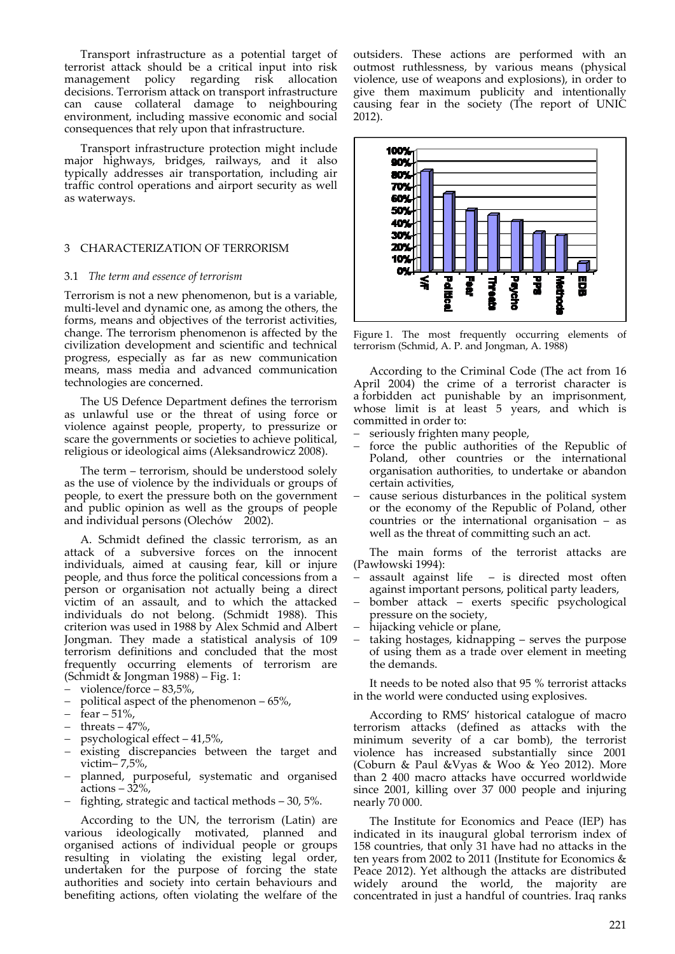Transport infrastructure as a potential target of terrorist attack should be a critical input into risk management policy regarding risk allocation decisions. Terrorism attack on transport infrastructure can cause collateral damage to neighbouring environment, including massive economic and social consequences that rely upon that infrastructure.

Transport infrastructure protection might include major highways, bridges, railways, and it also typically addresses air transportation, including air traffic control operations and airport security as well as waterways.

## 3 CHARACTERIZATION OF TERRORISM

#### 3.1 *The term and essence of terrorism*

Terrorism is not a new phenomenon, but is a variable, multi‐level and dynamic one, as among the others, the forms, means and objectives of the terrorist activities, change. The terrorism phenomenon is affected by the civilization development and scientific and technical progress, especially as far as new communication means, mass media and advanced communication technologies are concerned.

The US Defence Department defines the terrorism as unlawful use or the threat of using force or violence against people, property, to pressurize or scare the governments or societies to achieve political, religious or ideological aims (Aleksandrowicz 2008).

The term – terrorism, should be understood solely as the use of violence by the individuals or groups of people, to exert the pressure both on the government and public opinion as well as the groups of people and individual persons (Olechów 2002).

A. Schmidt defined the classic terrorism, as an attack of a subversive forces on the innocent individuals, aimed at causing fear, kill or injure people, and thus force the political concessions from a person or organisation not actually being a direct victim of an assault, and to which the attacked individuals do not belong. (Schmidt 1988). This criterion was used in 1988 by Alex Schmid and Albert Jongman. They made a statistical analysis of 109 terrorism definitions and concluded that the most frequently occurring elements of terrorism are (Schmidt & Jongman  $1988$ ) – Fig. 1:

- $-$  violence/force  $-83.5\%$ ,
- political aspect of the phenomenon  $-65%$ ,
- $-$  fear  $-51\%$ ,
- $-$  threats  $-47%$ ,
- psychological effect 41,5%,
- existing discrepancies between the target and victim– $7,5\%$ ,
- planned, purposeful, systematic and organised  $\arctan 32\%$ ,
- $-$  fighting, strategic and tactical methods  $-30.5\%$ .

According to the UN, the terrorism (Latin) are various ideologically motivated, planned and organised actions of individual people or groups resulting in violating the existing legal order, undertaken for the purpose of forcing the state authorities and society into certain behaviours and benefiting actions, often violating the welfare of the

outsiders. These actions are performed with an outmost ruthlessness, by various means (physical violence, use of weapons and explosions), in order to give them maximum publicity and intentionally causing fear in the society (The report of UNIC 2012).



Figure 1. The most frequently occurring elements of terrorism (Schmid, A. P. and Jongman, A. 1988)

According to the Criminal Code (The act from 16 April 2004) the crime of a terrorist character is a forbidden act punishable by an imprisonment, whose limit is at least 5 years, and which is committed in order to:

- seriously frighten many people,
- force the public authorities of the Republic of Poland, other countries or the international organisation authorities, to undertake or abandon certain activities,
- cause serious disturbances in the political system or the economy of the Republic of Poland, other countries or the international organisation – as well as the threat of committing such an act.

The main forms of the terrorist attacks are (Pawłowski 1994):

- assault against life is directed most often against important persons, political party leaders,
- bomber attack  $-$  exerts specific psychological pressure on the society,
- hijacking vehicle or plane,
- taking hostages, kidnapping serves the purpose of using them as a trade over element in meeting the demands.

It needs to be noted also that 95 % terrorist attacks in the world were conducted using explosives.

According to RMS' historical catalogue of macro terrorism attacks (defined as attacks with the minimum severity of a car bomb), the terrorist violence has increased substantially since 2001 (Coburn & Paul &Vyas & Woo & Yeo 2012). More than 2 400 macro attacks have occurred worldwide since 2001, killing over 37 000 people and injuring nearly 70 000.

The Institute for Economics and Peace (IEP) has indicated in its inaugural global terrorism index of 158 countries, that only 31 have had no attacks in the ten years from 2002 to 2011 (Institute for Economics & Peace 2012). Yet although the attacks are distributed widely around the world, the majority are concentrated in just a handful of countries. Iraq ranks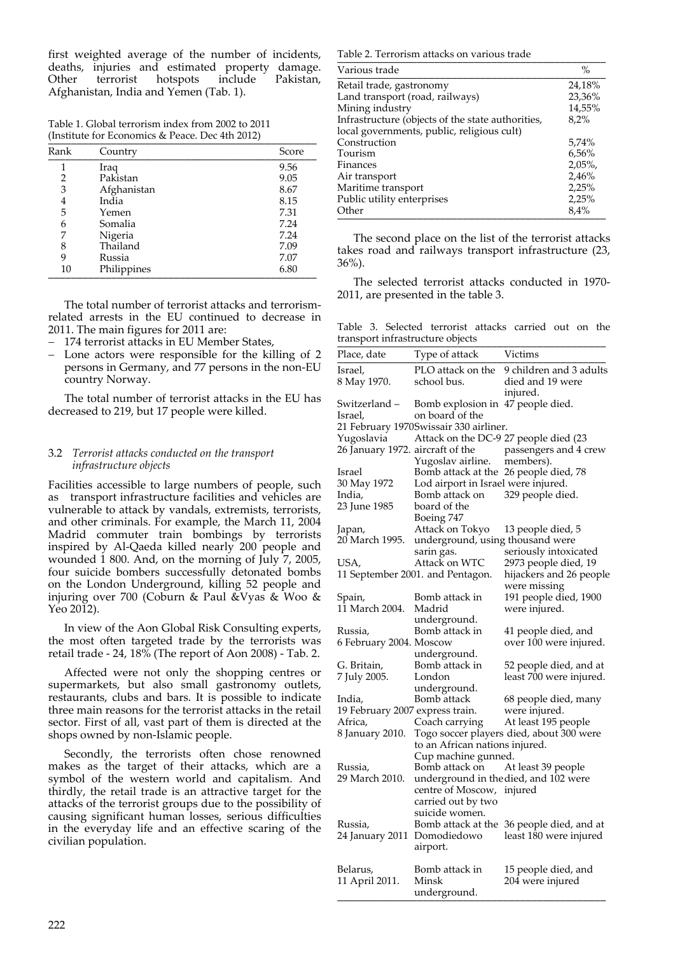first weighted average of the number of incidents, deaths, injuries and estimated property damage. Other terrorist hotspots include Pakistan, Afghanistan, India and Yemen (Tab. 1).

Table 1. Global terrorism index from 2002 to 2011 (Institute for Economics & Peace. Dec 4th  $2012$ )

| Rank | Country     | Score |
|------|-------------|-------|
| 1    | Iraq        | 9.56  |
| 2    | Pakistan    | 9.05  |
| 3    | Afghanistan | 8.67  |
| 4    | India       | 8.15  |
| 5    | Yemen       | 7.31  |
| 6    | Somalia     | 7.24  |
| 7    | Nigeria     | 7.24  |
| 8    | Thailand    | 7.09  |
| 9    | Russia      | 7.07  |
| 10   | Philippines | 6.80  |

The total number of terrorist attacks and terrorism‐ related arrests in the EU continued to decrease in 2011. The main figures for 2011 are:

- 174 terrorist attacks in EU Member States,
- Lone actors were responsible for the killing of 2 persons in Germany, and 77 persons in the non‐EU country Norway.

The total number of terrorist attacks in the EU has decreased to 219, but 17 people were killed.

## 3.2 *Terrorist attacks conducted on the transport infrastructure objects*

Facilities accessible to large numbers of people, such as transport infrastructure facilities and vehicles are vulnerable to attack by vandals, extremists, terrorists, and other criminals. For example, the March 11, 2004 Madrid commuter train bombings by terrorists inspired by Al‐Qaeda killed nearly 200 people and wounded 1 800. And, on the morning of July 7, 2005, four suicide bombers successfully detonated bombs on the London Underground, killing 52 people and injuring over 700 (Coburn & Paul &Vyas & Woo & Yeo 2012).

In view of the Aon Global Risk Consulting experts, the most often targeted trade by the terrorists was retail trade ‐ 24, 18% (The report of Aon 2008) ‐ Tab. 2.

Affected were not only the shopping centres or supermarkets, but also small gastronomy outlets, restaurants, clubs and bars. It is possible to indicate three main reasons for the terrorist attacks in the retail sector. First of all, vast part of them is directed at the shops owned by non‐Islamic people.

Secondly, the terrorists often chose renowned makes as the target of their attacks, which are a symbol of the western world and capitalism. And thirdly, the retail trade is an attractive target for the attacks of the terrorist groups due to the possibility of causing significant human losses, serious difficulties in the everyday life and an effective scaring of the civilian population.

Table 2. Terrorism attacks on various trade

| Various trade                                     | $\frac{0}{0}$ |
|---------------------------------------------------|---------------|
| Retail trade, gastronomy                          | 24,18%        |
| Land transport (road, railways)                   | 23,36%        |
| Mining industry                                   | 14,55%        |
| Infrastructure (objects of the state authorities, | 8,2%          |
| local governments, public, religious cult)        |               |
| Construction                                      | 5,74%         |
| Tourism                                           | 6,56%         |
| Finances                                          | $2,05\%$      |
| Air transport                                     | 2,46%         |
| Maritime transport                                | 2,25%         |
| Public utility enterprises                        | 2,25%         |
| Other                                             | 8,4%          |

The second place on the list of the terrorist attacks takes road and railways transport infrastructure (23, 36%).

The selected terrorist attacks conducted in 1970‐ 2011, are presented in the table 3.

Table 3. Selected terrorist attacks carried out on the transport infrastructure objects \_\_\_\_\_\_\_\_\_\_\_\_\_\_\_\_\_\_\_\_\_\_\_\_\_\_\_\_\_\_\_\_\_\_\_\_\_\_\_\_\_\_\_\_\_\_\_

| Place, date                      | Type of attack                                       | Victims                                                 |
|----------------------------------|------------------------------------------------------|---------------------------------------------------------|
| Israel,<br>8 May 1970.           | PLO attack on the<br>school bus.                     | 9 children and 3 adults<br>died and 19 were<br>injured. |
| Switzerland –<br>Israel,         | Bomb explosion in 47 people died.<br>on board of the |                                                         |
|                                  | 21 February 1970Swissair 330 airliner.               |                                                         |
| Yugoslavia                       | Attack on the DC-9 27 people died (23                |                                                         |
| 26 January 1972. aircraft of the |                                                      | passengers and 4 crew                                   |
|                                  | Yugoslav airline.                                    | members).                                               |
| Israel                           | Bomb attack at the 26 people died, 78                |                                                         |
| 30 May 1972                      | Lod airport in Israel were injured.                  |                                                         |
| India,                           | Bomb attack on                                       | 329 people died.                                        |
| 23 June 1985                     | board of the                                         |                                                         |
|                                  | Boeing 747                                           |                                                         |
| Japan,                           | Attack on Tokyo                                      | 13 people died, 5                                       |
| 20 March 1995.                   | underground, using thousand were                     |                                                         |
|                                  | sarin gas.                                           | seriously intoxicated                                   |
| USA,                             | Attack on WTC                                        | 2973 people died, 19                                    |
|                                  | 11 September 2001. and Pentagon.                     | hijackers and 26 people                                 |
|                                  |                                                      |                                                         |
|                                  |                                                      | were missing                                            |
| Spain,                           | Bomb attack in                                       | 191 people died, 1900                                   |
| 11 March 2004.                   | Madrid                                               | were injured.                                           |
|                                  | underground.                                         |                                                         |
| Russia,                          | Bomb attack in                                       | 41 people died, and                                     |
| 6 February 2004. Moscow          |                                                      | over 100 were injured.                                  |
|                                  | underground.                                         |                                                         |
| G. Britain,                      | Bomb attack in                                       | 52 people died, and at                                  |
| 7 July 2005.                     | London                                               | least 700 were injured.                                 |
|                                  | underground.                                         |                                                         |
| India,                           | Bomb attack                                          | 68 people died, many                                    |
| 19 February 2007 express train.  |                                                      | were injured.                                           |
| Africa,                          | Coach carrying                                       | At least 195 people                                     |
| 8 January 2010.                  |                                                      | Togo soccer players died, about 300 were                |
|                                  | to an African nations injured.                       |                                                         |
|                                  | Cup machine gunned.                                  |                                                         |
| Russia,                          | Bomb attack on                                       | At least 39 people                                      |
| 29 March 2010.                   |                                                      | underground in thedied, and 102 were                    |
|                                  | centre of Moscow,                                    | injured                                                 |
|                                  | carried out by two                                   |                                                         |
|                                  | suicide women.                                       |                                                         |
| Russia,                          |                                                      | Bomb attack at the 36 people died, and at               |
| 24 January 2011                  | Domodiedowo                                          | least 180 were injured                                  |
|                                  | airport.                                             |                                                         |
|                                  |                                                      |                                                         |
| Belarus,                         | Bomb attack in                                       | 15 people died, and                                     |
| 11 April 2011.                   | Minsk                                                | 204 were injured                                        |
|                                  | underground.                                         |                                                         |
|                                  |                                                      |                                                         |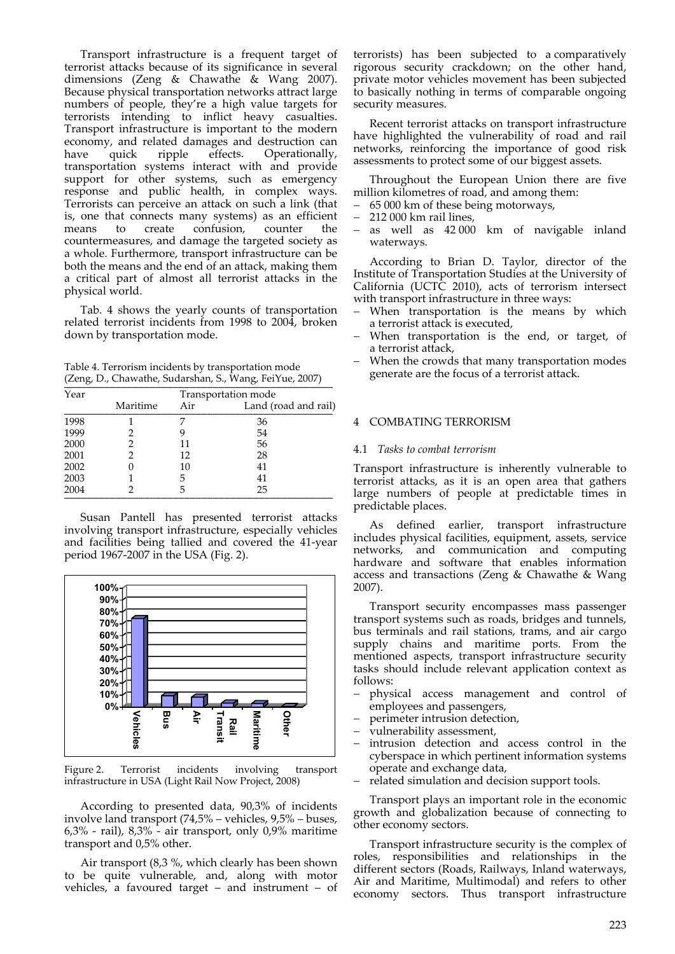Transport infrastructure is a frequent target of terrorist attacks because of its significance in several dimensions (Zeng & Chawathe & Wang 2007). Because physical transportation networks attract large numbers of people, they're a high value targets for terrorists intending to inflict heavy casualties. Transport infrastructure is important to the modern economy, and related damages and destruction can have quick ripple effects. Operationally, transportation systems interact with and provide support for other systems, such as emergency response and public health, in complex ways. Terrorists can perceive an attack on such a link (that is, one that connects many systems) as an efficient means to create confusion, counter the countermeasures, and damage the targeted society as a whole. Furthermore, transport infrastructure can be both the means and the end of an attack, making them a critical part of almost all terrorist attacks in the physical world.

Tab. 4 shows the yearly counts of transportation related terrorist incidents from 1998 to 2004, broken down by transportation mode.

Table 4. Terrorism incidents by transportation mode (Zeng, D., Chawathe, Sudarshan, S., Wang, FeiYue, 2007)

| Year | Transportation mode |     |                      |
|------|---------------------|-----|----------------------|
|      | Maritime            | Air | Land (road and rail) |
| 1998 |                     |     | 36                   |
| 1999 |                     |     | 54                   |
| 2000 |                     | 11  | 56                   |
| 2001 |                     | 12  | 28                   |
| 2002 |                     | 10  | 41                   |
| 2003 |                     | 5   | 41                   |
| 2004 |                     | 5   | 25                   |

Susan Pantell has presented terrorist attacks involving transport infrastructure, especially vehicles and facilities being tallied and covered the 41‐year period 1967‐2007 in the USA (Fig. 2).



Figure 2. Terrorist incidents involving transport infrastructure in USA (Light Rail Now Project, 2008)

According to presented data, 90,3% of incidents involve land transport (74,5% – vehicles, 9,5% – buses, 6,3% ‐ rail), 8,3% ‐ air transport, only 0,9% maritime transport and 0,5% other.

Air transport (8,3 %, which clearly has been shown to be quite vulnerable, and, along with motor vehicles, a favoured target – and instrument – of terrorists) has been subjected to a comparatively rigorous security crackdown; on the other hand, private motor vehicles movement has been subjected to basically nothing in terms of comparable ongoing security measures.

Recent terrorist attacks on transport infrastructure have highlighted the vulnerability of road and rail networks, reinforcing the importance of good risk assessments to protect some of our biggest assets.

Throughout the European Union there are five million kilometres of road, and among them:

- 65 000 km of these being motorways,
- 212 000 km rail lines,
- as well as 42 000 km of navigable inland waterways.

According to Brian D. Taylor, director of the Institute of Transportation Studies at the University of California (UCTC 2010), acts of terrorism intersect with transport infrastructure in three ways:

- When transportation is the means by which a terrorist attack is executed,
- When transportation is the end, or target, of a terrorist attack,
- When the crowds that many transportation modes generate are the focus of a terrorist attack.

## 4 COMBATING TERRORISM

## 4.1 *Tasks to combat terrorism*

Transport infrastructure is inherently vulnerable to terrorist attacks, as it is an open area that gathers large numbers of people at predictable times in predictable places.

As defined earlier, transport infrastructure includes physical facilities, equipment, assets, service networks, and communication and computing hardware and software that enables information access and transactions (Zeng & Chawathe & Wang 2007).

Transport security encompasses mass passenger transport systems such as roads, bridges and tunnels, bus terminals and rail stations, trams, and air cargo supply chains and maritime ports. From the mentioned aspects, transport infrastructure security tasks should include relevant application context as follows:

- physical access management and control of employees and passengers,
- perimeter intrusion detection,
- vulnerability assessment,
- intrusion detection and access control in the cyberspace in which pertinent information systems operate and exchange data,
- related simulation and decision support tools.

Transport plays an important role in the economic growth and globalization because of connecting to other economy sectors.

Transport infrastructure security is the complex of roles, responsibilities and relationships in the different sectors (Roads, Railways, Inland waterways, Air and Maritime, Multimodal) and refers to other economy sectors. Thus transport infrastructure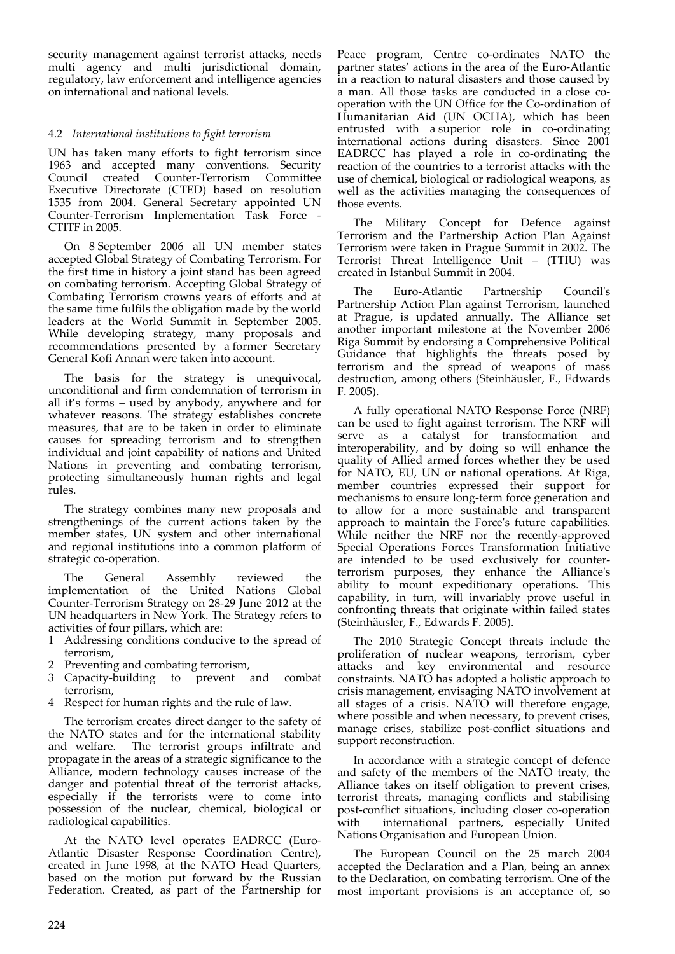security management against terrorist attacks, needs multi agency and multi jurisdictional domain, regulatory, law enforcement and intelligence agencies on international and national levels.

# 4.2 *International institutions to fight terrorism*

UN has taken many efforts to fight terrorism since 1963 and accepted many conventions. Security Council created Counter‐Terrorism Committee Executive Directorate (CTED) based on resolution 1535 from 2004. General Secretary appointed UN Counter‐Terrorism Implementation Task Force ‐ CTITF in 2005.

On 8 September 2006 all UN member states accepted Global Strategy of Combating Terrorism. For the first time in history a joint stand has been agreed on combating terrorism. Accepting Global Strategy of Combating Terrorism crowns years of efforts and at the same time fulfils the obligation made by the world leaders at the World Summit in September 2005. While developing strategy, many proposals and recommendations presented by a former Secretary General Kofi Annan were taken into account.

The basis for the strategy is unequivocal, unconditional and firm condemnation of terrorism in all it's forms – used by anybody, anywhere and for whatever reasons. The strategy establishes concrete measures, that are to be taken in order to eliminate causes for spreading terrorism and to strengthen individual and joint capability of nations and United Nations in preventing and combating terrorism, protecting simultaneously human rights and legal rules.

The strategy combines many new proposals and strengthenings of the current actions taken by the member states, UN system and other international and regional institutions into a common platform of strategic co‐operation.

The General Assembly reviewed the implementation of the United Nations Global Counter‐Terrorism Strategy on 28‐29 June 2012 at the UN headquarters in New York. The Strategy refers to activities of four pillars, which are:

- 1 Addressing conditions conducive to the spread of terrorism,
- Preventing and combating terrorism,
- 3 Capacity‐building to prevent and combat terrorism,
- 4 Respect for human rights and the rule of law.

The terrorism creates direct danger to the safety of the NATO states and for the international stability and welfare. The terrorist groups infiltrate and propagate in the areas of a strategic significance to the Alliance, modern technology causes increase of the danger and potential threat of the terrorist attacks, especially if the terrorists were to come into possession of the nuclear, chemical, biological or radiological capabilities.

At the NATO level operates EADRCC (Euro‐ Atlantic Disaster Response Coordination Centre), created in June 1998, at the NATO Head Quarters, based on the motion put forward by the Russian Federation. Created, as part of the Partnership for

Peace program, Centre co-ordinates NATO the partner states' actions in the area of the Euro‐Atlantic in a reaction to natural disasters and those caused by a man. All those tasks are conducted in a close cooperation with the UN Office for the Co‐ordination of Humanitarian Aid (UN OCHA), which has been entrusted with a superior role in co-ordinating international actions during disasters. Since 2001 EADRCC has played a role in co-ordinating the reaction of the countries to a terrorist attacks with the use of chemical, biological or radiological weapons, as well as the activities managing the consequences of those events.

The Military Concept for Defence against Terrorism and the Partnership Action Plan Against Terrorism were taken in Prague Summit in 2002. The Terrorist Threat Intelligence Unit – (TTIU) was created in Istanbul Summit in 2004.

The Euro-Atlantic Partnership Council's Partnership Action Plan against Terrorism, launched at Prague, is updated annually. The Alliance set another important milestone at the November 2006 Riga Summit by endorsing a Comprehensive Political Guidance that highlights the threats posed by terrorism and the spread of weapons of mass destruction, among others (Steinhäusler, F., Edwards F. 2005).

A fully operational NATO Response Force (NRF) can be used to fight against terrorism. The NRF will serve as a catalyst for transformation and interoperability, and by doing so will enhance the quality of Allied armed forces whether they be used for NATO, EU, UN or national operations. At Riga, member countries expressed their support for mechanisms to ensure long‐term force generation and to allow for a more sustainable and transparent approach to maintain the Forceʹs future capabilities. While neither the NRF nor the recently-approved Special Operations Forces Transformation Initiative are intended to be used exclusively for counter‐ terrorism purposes, they enhance the Allianceʹs ability to mount expeditionary operations. This capability, in turn, will invariably prove useful in confronting threats that originate within failed states (Steinhäusler, F., Edwards F. 2005).

The 2010 Strategic Concept threats include the proliferation of nuclear weapons, terrorism, cyber attacks and key environmental and resource constraints. NATO has adopted a holistic approach to crisis management, envisaging NATO involvement at all stages of a crisis. NATO will therefore engage, where possible and when necessary, to prevent crises, manage crises, stabilize post‐conflict situations and support reconstruction.

In accordance with a strategic concept of defence and safety of the members of the NATO treaty, the Alliance takes on itself obligation to prevent crises, terrorist threats, managing conflicts and stabilising post-conflict situations, including closer co-operation with international partners, especially United Nations Organisation and European Union.

The European Council on the 25 march 2004 accepted the Declaration and a Plan, being an annex to the Declaration, on combating terrorism. One of the most important provisions is an acceptance of, so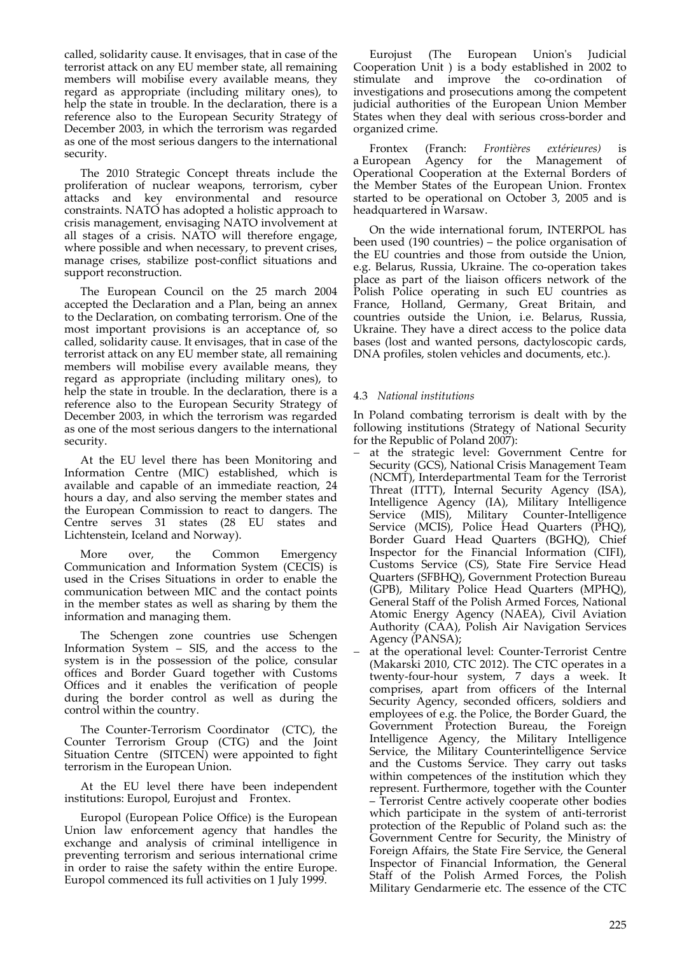called, solidarity cause. It envisages, that in case of the terrorist attack on any EU member state, all remaining members will mobilise every available means, they regard as appropriate (including military ones), to help the state in trouble. In the declaration, there is a reference also to the European Security Strategy of December 2003, in which the terrorism was regarded as one of the most serious dangers to the international security.

The 2010 Strategic Concept threats include the proliferation of nuclear weapons, terrorism, cyber attacks and key environmental and resource constraints. NATO has adopted a holistic approach to crisis management, envisaging NATO involvement at all stages of a crisis. NATO will therefore engage, where possible and when necessary, to prevent crises, manage crises, stabilize post-conflict situations and support reconstruction.

The European Council on the 25 march 2004 accepted the Declaration and a Plan, being an annex to the Declaration, on combating terrorism. One of the most important provisions is an acceptance of, so called, solidarity cause. It envisages, that in case of the terrorist attack on any EU member state, all remaining members will mobilise every available means, they regard as appropriate (including military ones), to help the state in trouble. In the declaration, there is a reference also to the European Security Strategy of December 2003, in which the terrorism was regarded as one of the most serious dangers to the international security.

At the EU level there has been Monitoring and Information Centre (MIC) established, which is available and capable of an immediate reaction, 24 hours a day, and also serving the member states and the European Commission to react to dangers. The Centre serves 31 states (28 EU states and Lichtenstein, Iceland and Norway).

More over, the Common Emergency Communication and Information System (CECIS) is used in the Crises Situations in order to enable the communication between MIC and the contact points in the member states as well as sharing by them the information and managing them.

The Schengen zone countries use Schengen Information System – SIS, and the access to the system is in the possession of the police, consular offices and Border Guard together with Customs Offices and it enables the verification of people during the border control as well as during the control within the country.

The Counter-Terrorism Coordinator (CTC), the Counter Terrorism Group (CTG) and the Joint Situation Centre (SITCEN) were appointed to fight terrorism in the European Union.

At the EU level there have been independent institutions: Europol, Eurojust and Frontex.

Europol (European Police Office) is the European Union law enforcement agency that handles the exchange and analysis of criminal intelligence in preventing terrorism and serious international crime in order to raise the safety within the entire Europe. Europol commenced its full activities on 1 July 1999.

Eurojust (The European Unionʹs Judicial Cooperation Unit ) is a body established in 2002 to stimulate and improve the co-ordination of investigations and prosecutions among the competent judicial authorities of the European Union Member States when they deal with serious cross‐border and organized crime.

Frontex (Franch: *Frontières extérieures)* is a European Agency for the Management of Operational Cooperation at the External Borders of the Member States of the European Union. Frontex started to be operational on October 3, 2005 and is headquartered in Warsaw.

On the wide international forum, INTERPOL has been used (190 countries) – the police organisation of the EU countries and those from outside the Union, e.g. Belarus, Russia, Ukraine. The co‐operation takes place as part of the liaison officers network of the Polish Police operating in such EU countries as France, Holland, Germany, Great Britain, and countries outside the Union, i.e. Belarus, Russia, Ukraine. They have a direct access to the police data bases (lost and wanted persons, dactyloscopic cards, DNA profiles, stolen vehicles and documents, etc.).

## 4.3 *National institutions*

In Poland combating terrorism is dealt with by the following institutions (Strategy of National Security for the Republic of Poland 2007):

- at the strategic level: Government Centre for Security (GCS), National Crisis Management Team (NCMT), Interdepartmental Team for the Terrorist Threat (ITTT), Internal Security Agency (ISA), Intelligence Agency (IA), Military Intelligence Service (MIS), Military Counter‐Intelligence Service (MCIS), Police Head Quarters (PHQ), Border Guard Head Quarters (BGHQ), Chief Inspector for the Financial Information (CIFI), Customs Service (CS), State Fire Service Head Quarters (SFBHQ), Government Protection Bureau (GPB), Military Police Head Quarters (MPHQ), General Staff of the Polish Armed Forces, National Atomic Energy Agency (NAEA), Civil Aviation Authority (CĂA), Polish Air Navigation Services Agency (PANSA);
- at the operational level: Counter‐Terrorist Centre (Makarski 2010, CTC 2012). The CTC operates in a twenty‐four‐hour system, 7 days a week. It comprises, apart from officers of the Internal Security Agency, seconded officers, soldiers and employees of e.g. the Police, the Border Guard, the Government Protection Bureau, the Foreign Intelligence Agency, the Military Intelligence Service, the Military Counterintelligence Service and the Customs Service. They carry out tasks within competences of the institution which they represent. Furthermore, together with the Counter – Terrorist Centre actively cooperate other bodies which participate in the system of anti-terrorist protection of the Republic of Poland such as: the Government Centre for Security, the Ministry of Foreign Affairs, the State Fire Service, the General Inspector of Financial Information, the General Staff of the Polish Armed Forces, the Polish Military Gendarmerie etc. The essence of the CTC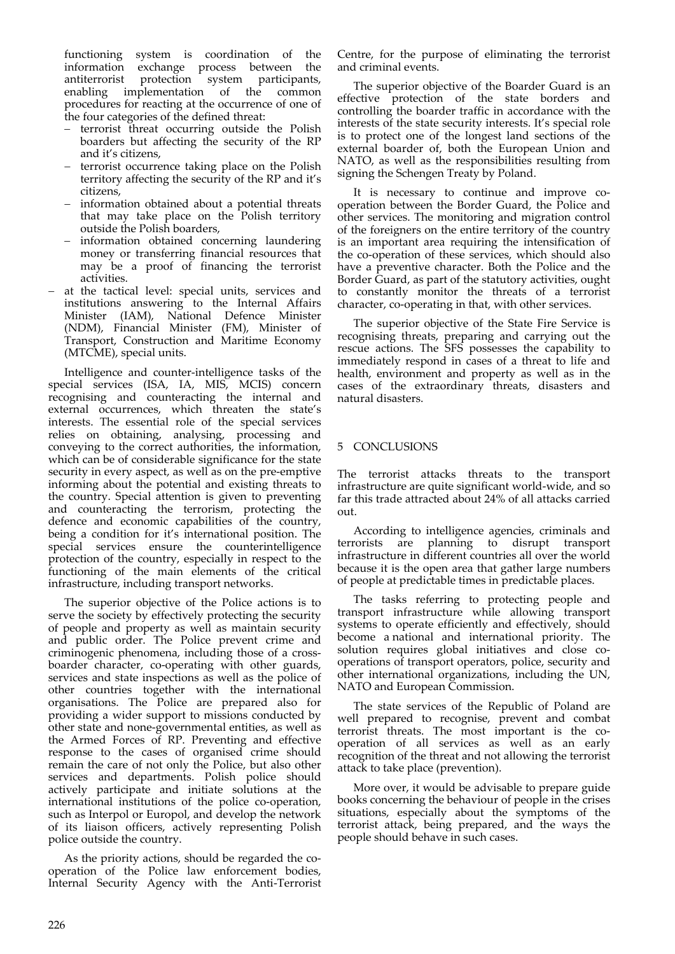functioning system is coordination of the information exchange process between the antiterrorist protection system participants, enabling implementation of the common procedures for reacting at the occurrence of one of the four categories of the defined threat:

- terrorist threat occurring outside the Polish boarders but affecting the security of the RP and it's citizens,
- terrorist occurrence taking place on the Polish territory affecting the security of the RP and it's citizens,
- information obtained about a potential threats that may take place on the Polish territory outside the Polish boarders,
- information obtained concerning laundering money or transferring financial resources that may be a proof of financing the terrorist activities.
- at the tactical level: special units, services and institutions answering to the Internal Affairs Minister (IAM), National Defence Minister (NDM), Financial Minister (FM), Minister of Transport, Construction and Maritime Economy (MTCME), special units.

Intelligence and counter‐intelligence tasks of the special services (ISA, IA, MIS, MCIS) concern recognising and counteracting the internal and external occurrences, which threaten the state's interests. The essential role of the special services relies on obtaining, analysing, processing and conveying to the correct authorities, the information, which can be of considerable significance for the state security in every aspect, as well as on the pre-emptive informing about the potential and existing threats to the country. Special attention is given to preventing and counteracting the terrorism, protecting the defence and economic capabilities of the country, being a condition for it's international position. The special services ensure the counterintelligence protection of the country, especially in respect to the functioning of the main elements of the critical infrastructure, including transport networks.

The superior objective of the Police actions is to serve the society by effectively protecting the security of people and property as well as maintain security and public order. The Police prevent crime and criminogenic phenomena, including those of a crossboarder character, co-operating with other guards, services and state inspections as well as the police of other countries together with the international organisations. The Police are prepared also for providing a wider support to missions conducted by other state and none‐governmental entities, as well as the Armed Forces of RP. Preventing and effective response to the cases of organised crime should remain the care of not only the Police, but also other services and departments. Polish police should actively participate and initiate solutions at the international institutions of the police co-operation, such as Interpol or Europol, and develop the network of its liaison officers, actively representing Polish police outside the country.

As the priority actions, should be regarded the cooperation of the Police law enforcement bodies, Internal Security Agency with the Anti‐Terrorist Centre, for the purpose of eliminating the terrorist and criminal events.

The superior objective of the Boarder Guard is an effective protection of the state borders and controlling the boarder traffic in accordance with the interests of the state security interests. It's special role is to protect one of the longest land sections of the external boarder of, both the European Union and NATO, as well as the responsibilities resulting from signing the Schengen Treaty by Poland.

It is necessary to continue and improve cooperation between the Border Guard, the Police and other services. The monitoring and migration control of the foreigners on the entire territory of the country is an important area requiring the intensification of the co-operation of these services, which should also have a preventive character. Both the Police and the Border Guard, as part of the statutory activities, ought to constantly monitor the threats of a terrorist character, co-operating in that, with other services.

The superior objective of the State Fire Service is recognising threats, preparing and carrying out the rescue actions. The SFS possesses the capability to immediately respond in cases of a threat to life and health, environment and property as well as in the cases of the extraordinary threats, disasters and natural disasters.

# 5 CONCLUSIONS

The terrorist attacks threats to the transport infrastructure are quite significant world‐wide, and so far this trade attracted about 24% of all attacks carried out.

According to intelligence agencies, criminals and terrorists are planning to disrupt transport infrastructure in different countries all over the world because it is the open area that gather large numbers of people at predictable times in predictable places.

The tasks referring to protecting people and transport infrastructure while allowing transport systems to operate efficiently and effectively, should become a national and international priority. The solution requires global initiatives and close cooperations of transport operators, police, security and other international organizations, including the UN, NATO and European Commission.

The state services of the Republic of Poland are well prepared to recognise, prevent and combat terrorist threats. The most important is the co‐ operation of all services as well as an early recognition of the threat and not allowing the terrorist attack to take place (prevention).

More over, it would be advisable to prepare guide books concerning the behaviour of people in the crises situations, especially about the symptoms of the terrorist attack, being prepared, and the ways the people should behave in such cases.